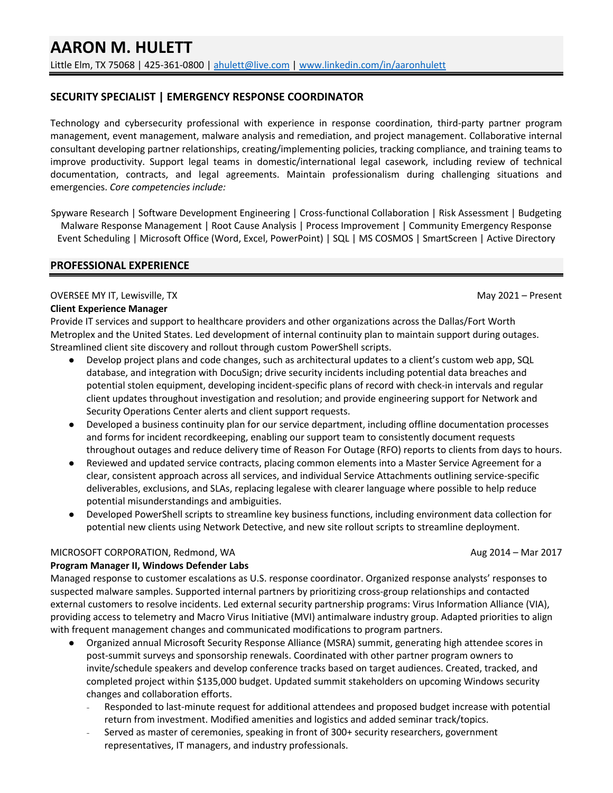# **SECURITY SPECIALIST | EMERGENCY RESPONSE COORDINATOR**

Technology and cybersecurity professional with experience in response coordination, third-party partner program management, event management, malware analysis and remediation, and project management. Collaborative internal consultant developing partner relationships, creating/implementing policies, tracking compliance, and training teams to improve productivity. Support legal teams in domestic/international legal casework, including review of technical documentation, contracts, and legal agreements. Maintain professionalism during challenging situations and emergencies. *Core competencies include:*

Spyware Research | Software Development Engineering | Cross-functional Collaboration | Risk Assessment | Budgeting Malware Response Management | Root Cause Analysis | Process Improvement | Community Emergency Response Event Scheduling | Microsoft Office (Word, Excel, PowerPoint) | SQL | MS COSMOS | SmartScreen | Active Directory

#### **PROFESSIONAL EXPERIENCE**

#### OVERSEE MY IT, Lewisville, TX and the state of the state of the state of the state of the May 2021 – Present

#### **Client Experience Manager**

Provide IT services and support to healthcare providers and other organizations across the Dallas/Fort Worth Metroplex and the United States. Led development of internal continuity plan to maintain support during outages. Streamlined client site discovery and rollout through custom PowerShell scripts.

- Develop project plans and code changes, such as architectural updates to a client's custom web app, SQL database, and integration with DocuSign; drive security incidents including potential data breaches and potential stolen equipment, developing incident-specific plans of record with check-in intervals and regular client updates throughout investigation and resolution; and provide engineering support for Network and Security Operations Center alerts and client support requests.
- Developed a business continuity plan for our service department, including offline documentation processes and forms for incident recordkeeping, enabling our support team to consistently document requests throughout outages and reduce delivery time of Reason For Outage (RFO) reports to clients from days to hours.
- Reviewed and updated service contracts, placing common elements into a Master Service Agreement for a clear, consistent approach across all services, and individual Service Attachments outlining service-specific deliverables, exclusions, and SLAs, replacing legalese with clearer language where possible to help reduce potential misunderstandings and ambiguities.
- Developed PowerShell scripts to streamline key business functions, including environment data collection for potential new clients using Network Detective, and new site rollout scripts to streamline deployment.

#### MICROSOFT CORPORATION, Redmond, WA Aug 2014 – Mar 2017

## **Program Manager II, Windows Defender Labs**

Managed response to customer escalations as U.S. response coordinator. Organized response analysts' responses to suspected malware samples. Supported internal partners by prioritizing cross-group relationships and contacted external customers to resolve incidents. Led external security partnership programs: Virus Information Alliance (VIA), providing access to telemetry and Macro Virus Initiative (MVI) antimalware industry group. Adapted priorities to align with frequent management changes and communicated modifications to program partners.

- Organized annual Microsoft Security Response Alliance (MSRA) summit, generating high attendee scores in post-summit surveys and sponsorship renewals. Coordinated with other partner program owners to invite/schedule speakers and develop conference tracks based on target audiences. Created, tracked, and completed project within \$135,000 budget. Updated summit stakeholders on upcoming Windows security changes and collaboration efforts.
	- Responded to last-minute request for additional attendees and proposed budget increase with potential return from investment. Modified amenities and logistics and added seminar track/topics.
	- Served as master of ceremonies, speaking in front of 300+ security researchers, government representatives, IT managers, and industry professionals.